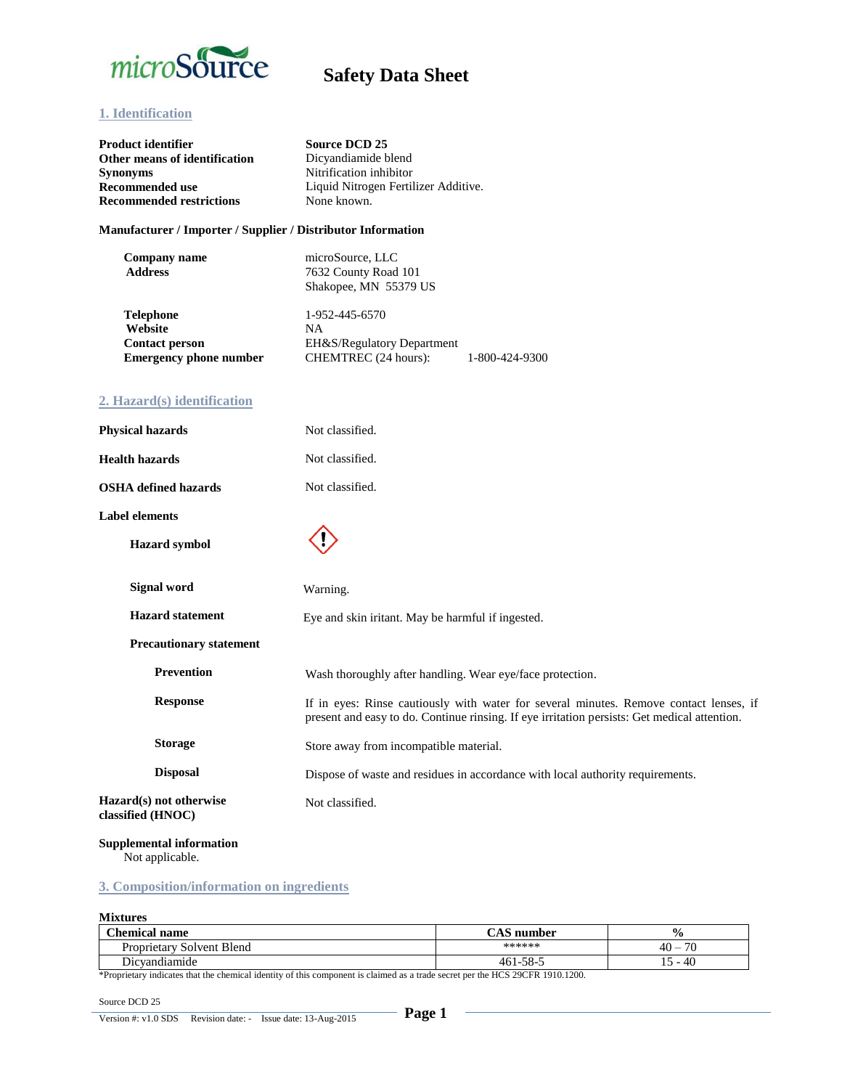

### **1. Identification**

| Product identifier<br>Other means of identification<br>Synonyms<br><b>Recommended use</b><br><b>Recommended restrictions</b> | <b>Source DCD 25</b><br>Dicyandiamide blend<br>Nitrification inhibitor<br>Liquid Nitrogen Fertilizer Additive.<br>None known.                                                          |  |  |  |
|------------------------------------------------------------------------------------------------------------------------------|----------------------------------------------------------------------------------------------------------------------------------------------------------------------------------------|--|--|--|
| Manufacturer / Importer / Supplier / Distributor Information                                                                 |                                                                                                                                                                                        |  |  |  |
| <b>Company name</b><br><b>Address</b>                                                                                        | microSource, LLC<br>7632 County Road 101<br>Shakopee, MN 55379 US                                                                                                                      |  |  |  |
| <b>Telephone</b><br>Website<br><b>Contact person</b><br><b>Emergency phone number</b>                                        | 1-952-445-6570<br>NA<br>EH&S/Regulatory Department<br>CHEMTREC (24 hours):<br>1-800-424-9300                                                                                           |  |  |  |
| 2. Hazard(s) identification                                                                                                  |                                                                                                                                                                                        |  |  |  |
| <b>Physical hazards</b>                                                                                                      | Not classified.                                                                                                                                                                        |  |  |  |
| <b>Health hazards</b>                                                                                                        | Not classified.                                                                                                                                                                        |  |  |  |
| <b>OSHA</b> defined hazards                                                                                                  | Not classified.                                                                                                                                                                        |  |  |  |
| <b>Label elements</b>                                                                                                        |                                                                                                                                                                                        |  |  |  |
| <b>Hazard</b> symbol                                                                                                         |                                                                                                                                                                                        |  |  |  |
| <b>Signal word</b>                                                                                                           | Warning.                                                                                                                                                                               |  |  |  |
| <b>Hazard statement</b>                                                                                                      | Eye and skin iritant. May be harmful if ingested.                                                                                                                                      |  |  |  |
| <b>Precautionary statement</b>                                                                                               |                                                                                                                                                                                        |  |  |  |
| <b>Prevention</b>                                                                                                            | Wash thoroughly after handling. Wear eye/face protection.                                                                                                                              |  |  |  |
| <b>Response</b>                                                                                                              | If in eyes: Rinse cautiously with water for several minutes. Remove contact lenses, if<br>present and easy to do. Continue rinsing. If eye irritation persists: Get medical attention. |  |  |  |
| <b>Storage</b>                                                                                                               | Store away from incompatible material.                                                                                                                                                 |  |  |  |

**Hazard(s) not otherwise classified (HNOC)**

**Disposal**

### **Supplemental information**

Not applicable.

### **3. Composition/information on ingredients**

#### **Mixtures**

| <b>Chemical</b><br>name                | $\sim$ . $\sim$<br>number<br>- A.S | $\frac{0}{0}$                  |
|----------------------------------------|------------------------------------|--------------------------------|
| $\sim$<br>Solvent Blend<br>Proprietary | ******                             | 70<br>$40 -$                   |
| Dicvandiamide                          | $461 - 58 - 2$                     | 40<br>$\overline{\phantom{0}}$ |

Dispose of waste and residues in accordance with local authority requirements.

\*Proprietary indicates that the chemical identity of this component is claimed as a trade secret per the HCS 29CFR 1910.1200.

Not classified.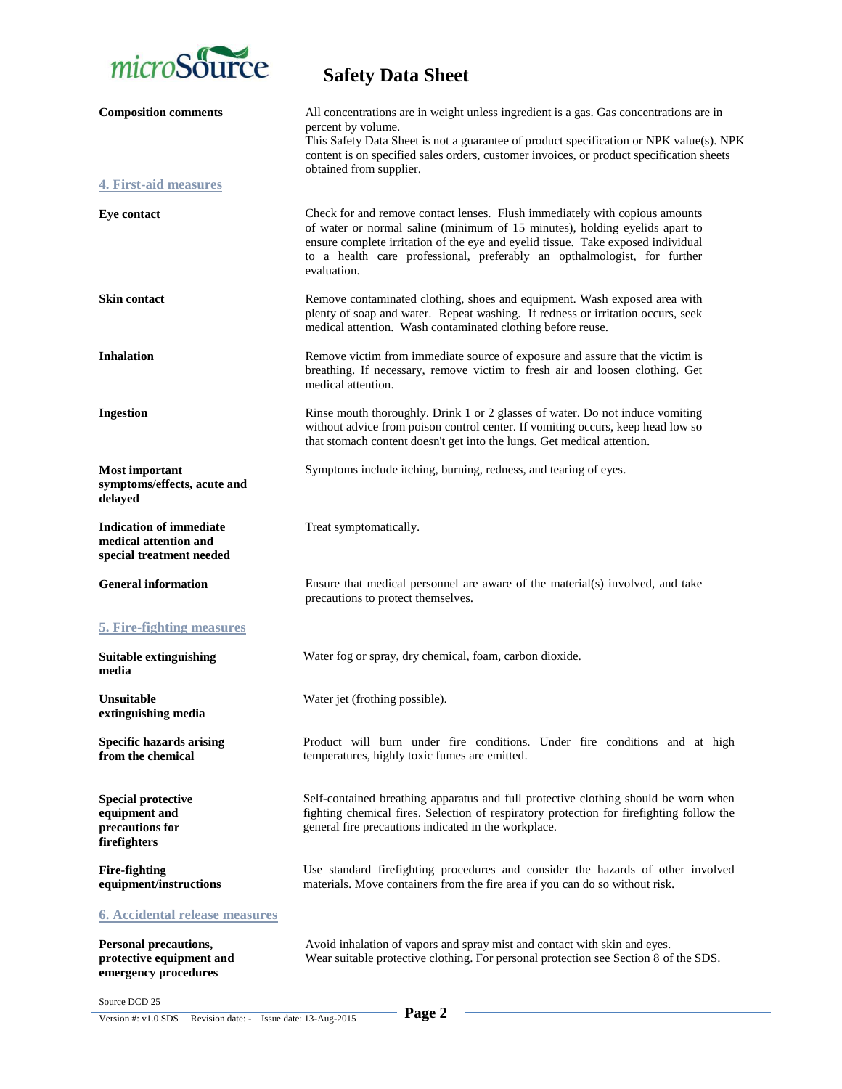

| <b>Composition comments</b>                                                         | All concentrations are in weight unless ingredient is a gas. Gas concentrations are in<br>percent by volume.<br>This Safety Data Sheet is not a guarantee of product specification or NPK value(s). NPK<br>content is on specified sales orders, customer invoices, or product specification sheets<br>obtained from supplier.            |
|-------------------------------------------------------------------------------------|-------------------------------------------------------------------------------------------------------------------------------------------------------------------------------------------------------------------------------------------------------------------------------------------------------------------------------------------|
| <b>4. First-aid measures</b>                                                        |                                                                                                                                                                                                                                                                                                                                           |
| <b>Eye contact</b>                                                                  | Check for and remove contact lenses. Flush immediately with copious amounts<br>of water or normal saline (minimum of 15 minutes), holding eyelids apart to<br>ensure complete irritation of the eye and eyelid tissue. Take exposed individual<br>to a health care professional, preferably an opthalmologist, for further<br>evaluation. |
| <b>Skin contact</b>                                                                 | Remove contaminated clothing, shoes and equipment. Wash exposed area with<br>plenty of soap and water. Repeat washing. If redness or irritation occurs, seek<br>medical attention. Wash contaminated clothing before reuse.                                                                                                               |
| <b>Inhalation</b>                                                                   | Remove victim from immediate source of exposure and assure that the victim is<br>breathing. If necessary, remove victim to fresh air and loosen clothing. Get<br>medical attention.                                                                                                                                                       |
| <b>Ingestion</b>                                                                    | Rinse mouth thoroughly. Drink 1 or 2 glasses of water. Do not induce vomiting<br>without advice from poison control center. If vomiting occurs, keep head low so<br>that stomach content doesn't get into the lungs. Get medical attention.                                                                                               |
| <b>Most important</b><br>symptoms/effects, acute and<br>delayed                     | Symptoms include itching, burning, redness, and tearing of eyes.                                                                                                                                                                                                                                                                          |
| <b>Indication of immediate</b><br>medical attention and<br>special treatment needed | Treat symptomatically.                                                                                                                                                                                                                                                                                                                    |
| <b>General information</b>                                                          | Ensure that medical personnel are aware of the material(s) involved, and take<br>precautions to protect themselves.                                                                                                                                                                                                                       |
| <b>5. Fire-fighting measures</b>                                                    |                                                                                                                                                                                                                                                                                                                                           |
| Suitable extinguishing<br>media                                                     | Water fog or spray, dry chemical, foam, carbon dioxide.                                                                                                                                                                                                                                                                                   |
| Unsuitable<br>extinguishing media                                                   | Water jet (frothing possible).                                                                                                                                                                                                                                                                                                            |
| <b>Specific hazards arising</b><br>from the chemical                                | Product will burn under fire conditions. Under fire conditions and at high<br>temperatures, highly toxic fumes are emitted.                                                                                                                                                                                                               |
| <b>Special protective</b><br>equipment and<br>precautions for<br>firefighters       | Self-contained breathing apparatus and full protective clothing should be worn when<br>fighting chemical fires. Selection of respiratory protection for firefighting follow the<br>general fire precautions indicated in the workplace.                                                                                                   |
| <b>Fire-fighting</b><br>equipment/instructions                                      | Use standard firefighting procedures and consider the hazards of other involved<br>materials. Move containers from the fire area if you can do so without risk.                                                                                                                                                                           |
| <u>6. Accidental release measures</u>                                               |                                                                                                                                                                                                                                                                                                                                           |
| Personal precautions,<br>protective equipment and<br>emergency procedures           | Avoid inhalation of vapors and spray mist and contact with skin and eyes.<br>Wear suitable protective clothing. For personal protection see Section 8 of the SDS.                                                                                                                                                                         |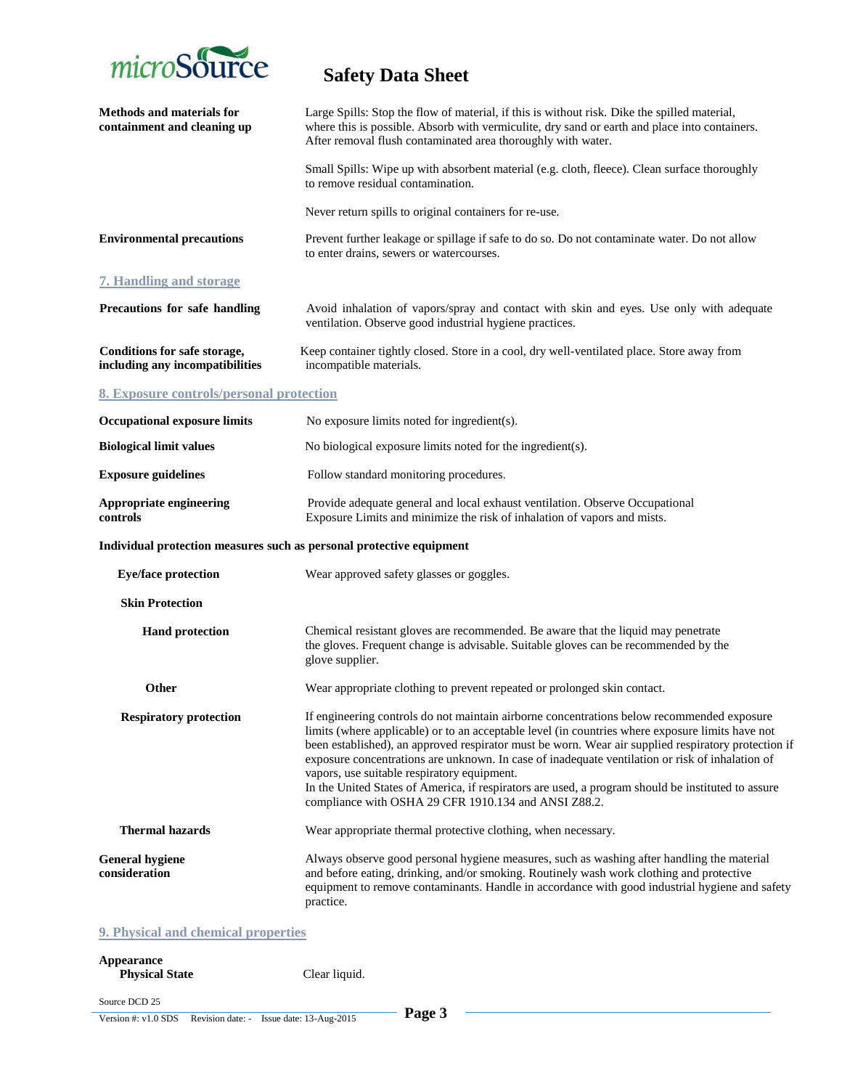

| Methods and materials for<br>containment and cleaning up             | Large Spills: Stop the flow of material, if this is without risk. Dike the spilled material,<br>where this is possible. Absorb with vermiculite, dry sand or earth and place into containers.<br>After removal flush contaminated area thoroughly with water.                                                                                                                                                                                                                                                                                                                                                         |
|----------------------------------------------------------------------|-----------------------------------------------------------------------------------------------------------------------------------------------------------------------------------------------------------------------------------------------------------------------------------------------------------------------------------------------------------------------------------------------------------------------------------------------------------------------------------------------------------------------------------------------------------------------------------------------------------------------|
|                                                                      | Small Spills: Wipe up with absorbent material (e.g. cloth, fleece). Clean surface thoroughly<br>to remove residual contamination.                                                                                                                                                                                                                                                                                                                                                                                                                                                                                     |
|                                                                      | Never return spills to original containers for re-use.                                                                                                                                                                                                                                                                                                                                                                                                                                                                                                                                                                |
| <b>Environmental precautions</b>                                     | Prevent further leakage or spillage if safe to do so. Do not contaminate water. Do not allow<br>to enter drains, sewers or watercourses.                                                                                                                                                                                                                                                                                                                                                                                                                                                                              |
| <b>7. Handling and storage</b>                                       |                                                                                                                                                                                                                                                                                                                                                                                                                                                                                                                                                                                                                       |
| Precautions for safe handling                                        | Avoid inhalation of vapors/spray and contact with skin and eyes. Use only with adequate<br>ventilation. Observe good industrial hygiene practices.                                                                                                                                                                                                                                                                                                                                                                                                                                                                    |
| Conditions for safe storage,<br>including any incompatibilities      | Keep container tightly closed. Store in a cool, dry well-ventilated place. Store away from<br>incompatible materials.                                                                                                                                                                                                                                                                                                                                                                                                                                                                                                 |
| 8. Exposure controls/personal protection                             |                                                                                                                                                                                                                                                                                                                                                                                                                                                                                                                                                                                                                       |
| <b>Occupational exposure limits</b>                                  | No exposure limits noted for ingredient(s).                                                                                                                                                                                                                                                                                                                                                                                                                                                                                                                                                                           |
| <b>Biological limit values</b>                                       | No biological exposure limits noted for the ingredient(s).                                                                                                                                                                                                                                                                                                                                                                                                                                                                                                                                                            |
| <b>Exposure guidelines</b>                                           | Follow standard monitoring procedures.                                                                                                                                                                                                                                                                                                                                                                                                                                                                                                                                                                                |
| Appropriate engineering<br>controls                                  | Provide adequate general and local exhaust ventilation. Observe Occupational<br>Exposure Limits and minimize the risk of inhalation of vapors and mists.                                                                                                                                                                                                                                                                                                                                                                                                                                                              |
| Individual protection measures such as personal protective equipment |                                                                                                                                                                                                                                                                                                                                                                                                                                                                                                                                                                                                                       |
| <b>Eye/face protection</b>                                           | Wear approved safety glasses or goggles.                                                                                                                                                                                                                                                                                                                                                                                                                                                                                                                                                                              |
| <b>Skin Protection</b>                                               |                                                                                                                                                                                                                                                                                                                                                                                                                                                                                                                                                                                                                       |
| <b>Hand protection</b>                                               | Chemical resistant gloves are recommended. Be aware that the liquid may penetrate<br>the gloves. Frequent change is advisable. Suitable gloves can be recommended by the<br>glove supplier.                                                                                                                                                                                                                                                                                                                                                                                                                           |
| Other                                                                | Wear appropriate clothing to prevent repeated or prolonged skin contact.                                                                                                                                                                                                                                                                                                                                                                                                                                                                                                                                              |
| <b>Respiratory protection</b>                                        | If engineering controls do not maintain airborne concentrations below recommended exposure<br>limits (where applicable) or to an acceptable level (in countries where exposure limits have not<br>been established), an approved respirator must be worn. Wear air supplied respiratory protection if<br>exposure concentrations are unknown. In case of inadequate ventilation or risk of inhalation of<br>vapors, use suitable respiratory equipment.<br>In the United States of America, if respirators are used, a program should be instituted to assure<br>compliance with OSHA 29 CFR 1910.134 and ANSI Z88.2. |
| <b>Thermal hazards</b>                                               | Wear appropriate thermal protective clothing, when necessary.                                                                                                                                                                                                                                                                                                                                                                                                                                                                                                                                                         |
| <b>General hygiene</b><br>consideration                              | Always observe good personal hygiene measures, such as washing after handling the material<br>and before eating, drinking, and/or smoking. Routinely wash work clothing and protective<br>equipment to remove contaminants. Handle in accordance with good industrial hygiene and safety<br>practice.                                                                                                                                                                                                                                                                                                                 |
| 9. Physical and chemical properties                                  |                                                                                                                                                                                                                                                                                                                                                                                                                                                                                                                                                                                                                       |

#### **Appearance Physical State** Clear liquid.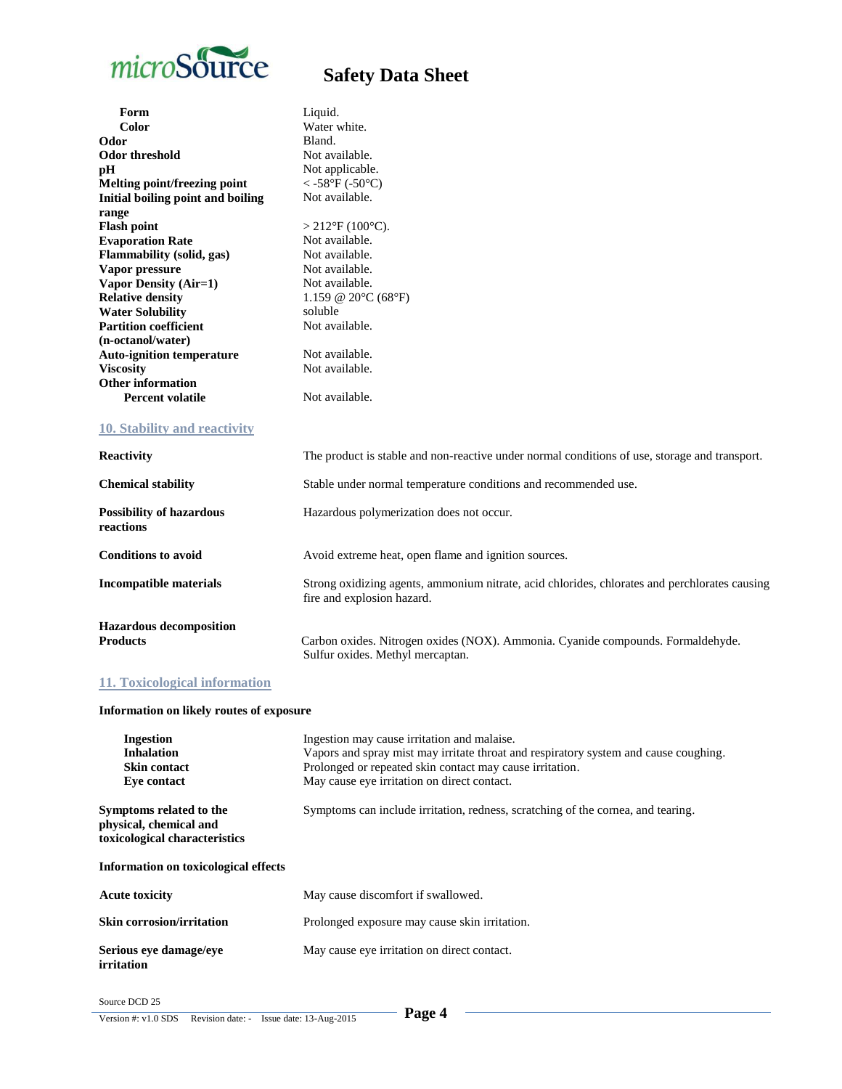

| Form                                              | Liquid.                                                                                                                     |
|---------------------------------------------------|-----------------------------------------------------------------------------------------------------------------------------|
| Color                                             | Water white.                                                                                                                |
| Odor                                              | Bland.                                                                                                                      |
| Odor threshold                                    | Not available.                                                                                                              |
| pH                                                | Not applicable.                                                                                                             |
| Melting point/freezing point                      | $<$ -58°F (-50°C)                                                                                                           |
| Initial boiling point and boiling                 | Not available.                                                                                                              |
| range                                             |                                                                                                                             |
| <b>Flash point</b>                                | $>212$ °F (100°C).                                                                                                          |
| <b>Evaporation Rate</b>                           | Not available.                                                                                                              |
| Flammability (solid, gas)                         | Not available.                                                                                                              |
| Vapor pressure                                    | Not available.                                                                                                              |
| Vapor Density (Air=1)                             | Not available.                                                                                                              |
| <b>Relative density</b>                           | 1.159 @ 20 $\rm{^{\circ}C}$ (68 $\rm{^{\circ}F}$ )                                                                          |
| <b>Water Solubility</b>                           | soluble                                                                                                                     |
| <b>Partition coefficient</b>                      | Not available.                                                                                                              |
| (n-octanol/water)                                 |                                                                                                                             |
| <b>Auto-ignition temperature</b>                  | Not available.                                                                                                              |
| <b>Viscosity</b>                                  | Not available.                                                                                                              |
| <b>Other information</b>                          |                                                                                                                             |
| <b>Percent volatile</b>                           | Not available.                                                                                                              |
| 10. Stability and reactivity                      |                                                                                                                             |
| <b>Reactivity</b>                                 | The product is stable and non-reactive under normal conditions of use, storage and transport.                               |
| <b>Chemical stability</b>                         | Stable under normal temperature conditions and recommended use.                                                             |
| <b>Possibility of hazardous</b><br>reactions      | Hazardous polymerization does not occur.                                                                                    |
| <b>Conditions to avoid</b>                        | Avoid extreme heat, open flame and ignition sources.                                                                        |
| <b>Incompatible materials</b>                     | Strong oxidizing agents, ammonium nitrate, acid chlorides, chlorates and perchlorates causing<br>fire and explosion hazard. |
| <b>Hazardous</b> decomposition<br><b>Products</b> | Carbon oxides. Nitrogen oxides (NOX). Ammonia. Cyanide compounds. Formaldehyde.                                             |

### **11. Toxicological information**

### **Information on likely routes of exposure**

| <b>Ingestion</b><br><b>Inhalation</b><br><b>Skin contact</b><br>Eye contact        | Ingestion may cause irritation and malaise.<br>Vapors and spray mist may irritate throat and respiratory system and cause coughing.<br>Prolonged or repeated skin contact may cause irritation.<br>May cause eye irritation on direct contact. |
|------------------------------------------------------------------------------------|------------------------------------------------------------------------------------------------------------------------------------------------------------------------------------------------------------------------------------------------|
| Symptoms related to the<br>physical, chemical and<br>toxicological characteristics | Symptoms can include irritation, redness, scratching of the cornea, and tearing.                                                                                                                                                               |
| Information on toxicological effects                                               |                                                                                                                                                                                                                                                |
| <b>Acute toxicity</b>                                                              | May cause discomfort if swallowed.                                                                                                                                                                                                             |
| <b>Skin corrosion/irritation</b>                                                   | Prolonged exposure may cause skin irritation.                                                                                                                                                                                                  |
| Serious eye damage/eye<br>irritation                                               | May cause eye irritation on direct contact.                                                                                                                                                                                                    |

Sulfur oxides. Methyl mercaptan.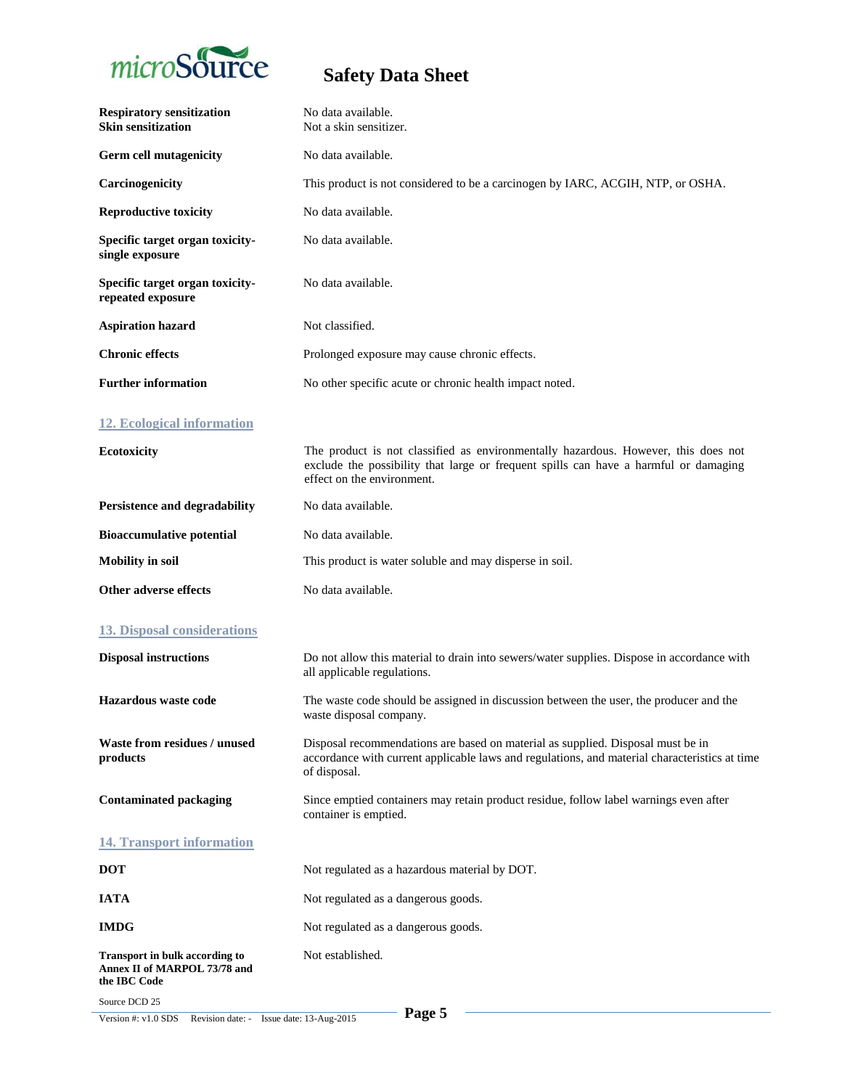

| <b>Respiratory sensitization</b><br><b>Skin sensitization</b>                         | No data available.<br>Not a skin sensitizer.                                                                                                                                                             |
|---------------------------------------------------------------------------------------|----------------------------------------------------------------------------------------------------------------------------------------------------------------------------------------------------------|
| Germ cell mutagenicity                                                                | No data available.                                                                                                                                                                                       |
| Carcinogenicity                                                                       | This product is not considered to be a carcinogen by IARC, ACGIH, NTP, or OSHA.                                                                                                                          |
| <b>Reproductive toxicity</b>                                                          | No data available.                                                                                                                                                                                       |
| Specific target organ toxicity-<br>single exposure                                    | No data available.                                                                                                                                                                                       |
| Specific target organ toxicity-<br>repeated exposure                                  | No data available.                                                                                                                                                                                       |
| <b>Aspiration hazard</b>                                                              | Not classified.                                                                                                                                                                                          |
| <b>Chronic effects</b>                                                                | Prolonged exposure may cause chronic effects.                                                                                                                                                            |
| <b>Further information</b>                                                            | No other specific acute or chronic health impact noted.                                                                                                                                                  |
| 12. Ecological information                                                            |                                                                                                                                                                                                          |
| Ecotoxicity                                                                           | The product is not classified as environmentally hazardous. However, this does not<br>exclude the possibility that large or frequent spills can have a harmful or damaging<br>effect on the environment. |
| Persistence and degradability                                                         | No data available.                                                                                                                                                                                       |
| <b>Bioaccumulative potential</b>                                                      | No data available.                                                                                                                                                                                       |
| <b>Mobility</b> in soil                                                               | This product is water soluble and may disperse in soil.                                                                                                                                                  |
| Other adverse effects                                                                 | No data available.                                                                                                                                                                                       |
| <b>13. Disposal considerations</b>                                                    |                                                                                                                                                                                                          |
| <b>Disposal instructions</b>                                                          | Do not allow this material to drain into sewers/water supplies. Dispose in accordance with<br>all applicable regulations.                                                                                |
| <b>Hazardous</b> waste code                                                           | The waste code should be assigned in discussion between the user, the producer and the<br>waste disposal company.                                                                                        |
| Waste from residues / unused<br>products                                              | Disposal recommendations are based on material as supplied. Disposal must be in<br>accordance with current applicable laws and regulations, and material characteristics at time<br>of disposal.         |
| <b>Contaminated packaging</b>                                                         | Since emptied containers may retain product residue, follow label warnings even after<br>container is emptied.                                                                                           |
| <b>14. Transport information</b>                                                      |                                                                                                                                                                                                          |
| <b>DOT</b>                                                                            | Not regulated as a hazardous material by DOT.                                                                                                                                                            |
| <b>IATA</b>                                                                           | Not regulated as a dangerous goods.                                                                                                                                                                      |
| <b>IMDG</b>                                                                           | Not regulated as a dangerous goods.                                                                                                                                                                      |
| <b>Transport in bulk according to</b><br>Annex II of MARPOL 73/78 and<br>the IBC Code | Not established.                                                                                                                                                                                         |
| Source DCD 25                                                                         |                                                                                                                                                                                                          |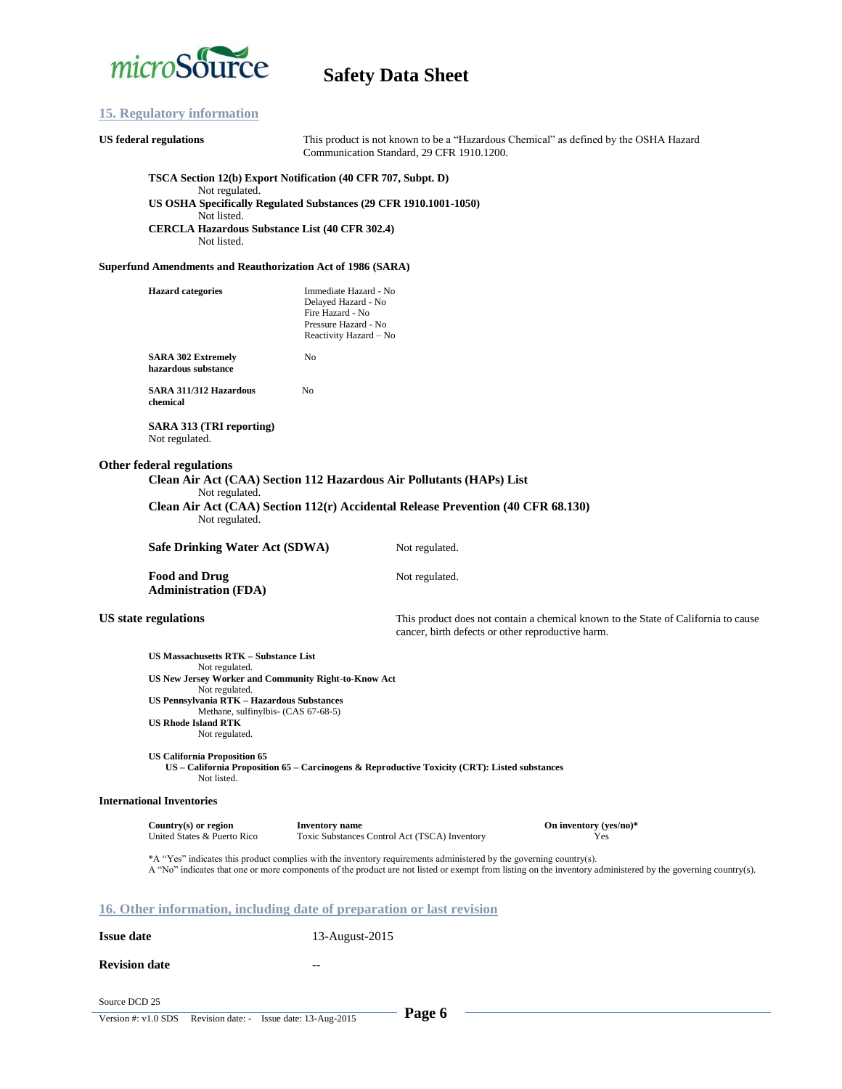

#### **15. Regulatory information**

### **US federal regulations** This product is not known to be a "Hazardous Chemical" as defined by the OSHA Hazard Communication Standard, 29 CFR 1910.1200. **TSCA Section 12(b) Export Notification (40 CFR 707, Subpt. D)** Not regulated. **US OSHA Specifically Regulated Substances (29 CFR 1910.1001-1050)** Not listed. **CERCLA Hazardous Substance List (40 CFR 302.4)** Not listed. **Superfund Amendments and Reauthorization Act of 1986 (SARA) Hazard categories** Immediate Hazard - No Delayed Hazard - No Fire Hazard - No Pressure Hazard - No Reactivity Hazard – No **SARA 302 Extremely** No **hazardous substance SARA 311/312 Hazardous** No **chemical SARA 313 (TRI reporting)** Not regulated. **Other federal regulations Clean Air Act (CAA) Section 112 Hazardous Air Pollutants (HAPs) List** Not regulated. **Clean Air Act (CAA) Section 112(r) Accidental Release Prevention (40 CFR 68.130)** Not regulated. **Safe Drinking Water Act (SDWA)** Not regulated. Food and Drug **Not regulated**. **Administration (FDA) US state regulations** This product does not contain a chemical known to the State of California to cause cancer, birth defects or other reproductive harm. **US Massachusetts RTK – Substance List** Not regulated. **US New Jersey Worker and Community Right-to-Know Act** Not regulated. **US Pennsylvania RTK – Hazardous Substances** Methane, sulfinylbis- (CAS 67-68-5) **US Rhode Island RTK** Not regulated. **US California Proposition 65 US – California Proposition 65 – Carcinogens & Reproductive Toxicity (CRT): Listed substances** Not listed. **International Inventories Country(s) or region <b>Inventory name Inventory name On inventory (yes/no)\***<br>
United States & Puerto Rico **Toxic Substances Control Act (TSCA)** Inventory **States Press** Yes Toxic Substances Control Act (TSCA) Inventory Yes \*A "Yes" indicates this product complies with the inventory requirements administered by the governing country(s). A "No" indicates that one or more components of the product are not listed or exempt from listing on the inventory administered by the governing country(s). **16. Other information, including date of preparation or last revision Issue date** 13-August-2015

**Revision date**